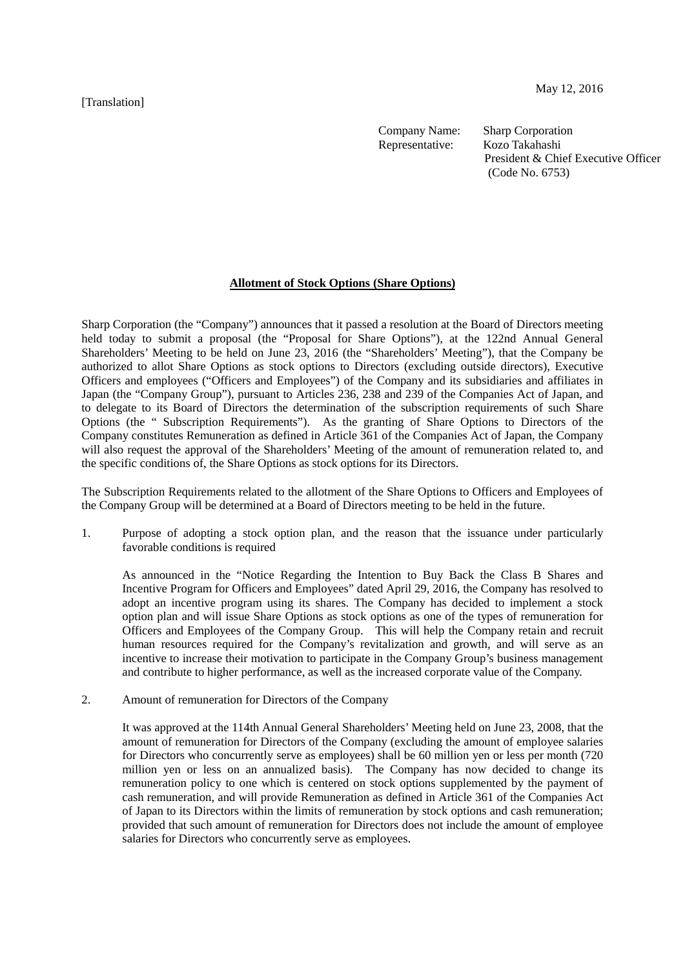[Translation]

Company Name: Sharp Corporation<br>Representative: Kozo Takahashi Representative:

President & Chief Executive Officer (Code No. 6753)

## **Allotment of Stock Options (Share Options)**

Sharp Corporation (the "Company") announces that it passed a resolution at the Board of Directors meeting held today to submit a proposal (the "Proposal for Share Options"), at the 122nd Annual General Shareholders' Meeting to be held on June 23, 2016 (the "Shareholders' Meeting"), that the Company be authorized to allot Share Options as stock options to Directors (excluding outside directors), Executive Officers and employees ("Officers and Employees") of the Company and its subsidiaries and affiliates in Japan (the "Company Group"), pursuant to Articles 236, 238 and 239 of the Companies Act of Japan, and to delegate to its Board of Directors the determination of the subscription requirements of such Share Options (the " Subscription Requirements"). As the granting of Share Options to Directors of the Company constitutes Remuneration as defined in Article 361 of the Companies Act of Japan, the Company will also request the approval of the Shareholders' Meeting of the amount of remuneration related to, and the specific conditions of, the Share Options as stock options for its Directors.

The Subscription Requirements related to the allotment of the Share Options to Officers and Employees of the Company Group will be determined at a Board of Directors meeting to be held in the future.

1. Purpose of adopting a stock option plan, and the reason that the issuance under particularly favorable conditions is required

As announced in the "Notice Regarding the Intention to Buy Back the Class B Shares and Incentive Program for Officers and Employees" dated April 29, 2016, the Company has resolved to adopt an incentive program using its shares. The Company has decided to implement a stock option plan and will issue Share Options as stock options as one of the types of remuneration for Officers and Employees of the Company Group. This will help the Company retain and recruit human resources required for the Company's revitalization and growth, and will serve as an incentive to increase their motivation to participate in the Company Group's business management and contribute to higher performance, as well as the increased corporate value of the Company.

2. Amount of remuneration for Directors of the Company

It was approved at the 114th Annual General Shareholders' Meeting held on June 23, 2008, that the amount of remuneration for Directors of the Company (excluding the amount of employee salaries for Directors who concurrently serve as employees) shall be 60 million yen or less per month (720 million yen or less on an annualized basis). The Company has now decided to change its remuneration policy to one which is centered on stock options supplemented by the payment of cash remuneration, and will provide Remuneration as defined in Article 361 of the Companies Act of Japan to its Directors within the limits of remuneration by stock options and cash remuneration; provided that such amount of remuneration for Directors does not include the amount of employee salaries for Directors who concurrently serve as employees.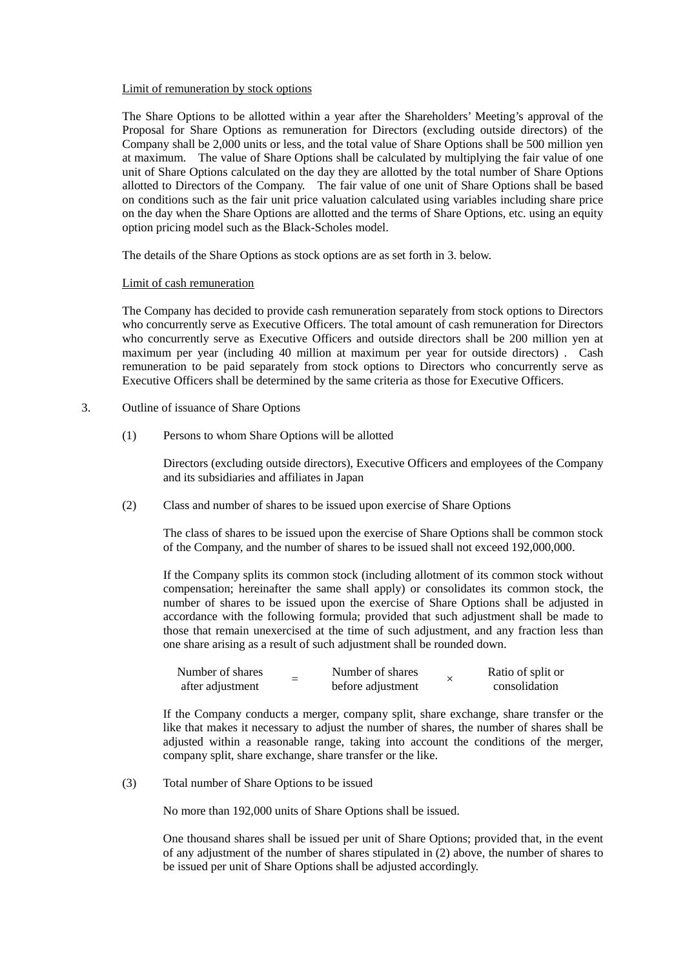## Limit of remuneration by stock options

The Share Options to be allotted within a year after the Shareholders' Meeting's approval of the Proposal for Share Options as remuneration for Directors (excluding outside directors) of the Company shall be 2,000 units or less, and the total value of Share Options shall be 500 million yen at maximum. The value of Share Options shall be calculated by multiplying the fair value of one unit of Share Options calculated on the day they are allotted by the total number of Share Options allotted to Directors of the Company. The fair value of one unit of Share Options shall be based on conditions such as the fair unit price valuation calculated using variables including share price on the day when the Share Options are allotted and the terms of Share Options, etc. using an equity option pricing model such as the Black-Scholes model.

The details of the Share Options as stock options are as set forth in 3. below.

## Limit of cash remuneration

The Company has decided to provide cash remuneration separately from stock options to Directors who concurrently serve as Executive Officers. The total amount of cash remuneration for Directors who concurrently serve as Executive Officers and outside directors shall be 200 million yen at maximum per year (including 40 million at maximum per year for outside directors) . Cash remuneration to be paid separately from stock options to Directors who concurrently serve as Executive Officers shall be determined by the same criteria as those for Executive Officers.

## 3. Outline of issuance of Share Options

(1) Persons to whom Share Options will be allotted

Directors (excluding outside directors), Executive Officers and employees of the Company and its subsidiaries and affiliates in Japan

(2) Class and number of shares to be issued upon exercise of Share Options

The class of shares to be issued upon the exercise of Share Options shall be common stock of the Company, and the number of shares to be issued shall not exceed 192,000,000.

If the Company splits its common stock (including allotment of its common stock without compensation; hereinafter the same shall apply) or consolidates its common stock, the number of shares to be issued upon the exercise of Share Options shall be adjusted in accordance with the following formula; provided that such adjustment shall be made to those that remain unexercised at the time of such adjustment, and any fraction less than one share arising as a result of such adjustment shall be rounded down.

| Number of shares |  | Number of shares  | Ratio of split or |
|------------------|--|-------------------|-------------------|
| after adjustment |  | before adjustment | consolidation     |

If the Company conducts a merger, company split, share exchange, share transfer or the like that makes it necessary to adjust the number of shares, the number of shares shall be adjusted within a reasonable range, taking into account the conditions of the merger, company split, share exchange, share transfer or the like.

(3) Total number of Share Options to be issued

No more than 192,000 units of Share Options shall be issued.

One thousand shares shall be issued per unit of Share Options; provided that, in the event of any adjustment of the number of shares stipulated in (2) above, the number of shares to be issued per unit of Share Options shall be adjusted accordingly.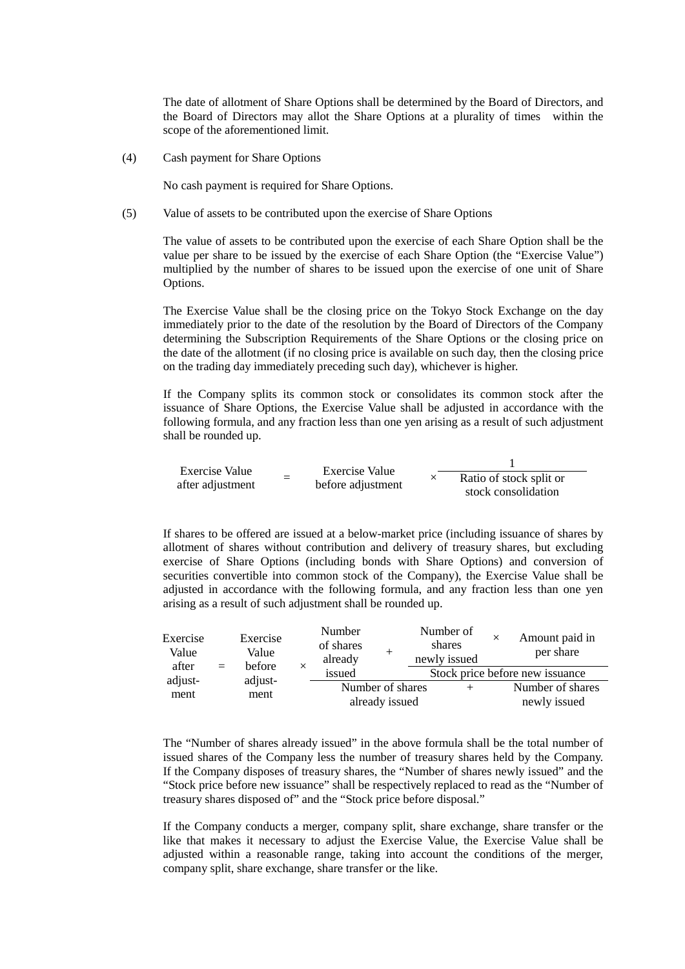The date of allotment of Share Options shall be determined by the Board of Directors, and the Board of Directors may allot the Share Options at a plurality of times within the scope of the aforementioned limit.

(4) Cash payment for Share Options

No cash payment is required for Share Options.

(5) Value of assets to be contributed upon the exercise of Share Options

The value of assets to be contributed upon the exercise of each Share Option shall be the value per share to be issued by the exercise of each Share Option (the "Exercise Value") multiplied by the number of shares to be issued upon the exercise of one unit of Share Options.

The Exercise Value shall be the closing price on the Tokyo Stock Exchange on the day immediately prior to the date of the resolution by the Board of Directors of the Company determining the Subscription Requirements of the Share Options or the closing price on the date of the allotment (if no closing price is available on such day, then the closing price on the trading day immediately preceding such day), whichever is higher.

If the Company splits its common stock or consolidates its common stock after the issuance of Share Options, the Exercise Value shall be adjusted in accordance with the following formula, and any fraction less than one yen arising as a result of such adjustment shall be rounded up.

Exercise Value after adjustment <sup>=</sup> Exercise Value before adjustment <sup>×</sup> 1 Ratio of stock split or stock consolidation

If shares to be offered are issued at a below-market price (including issuance of shares by allotment of shares without contribution and delivery of treasury shares, but excluding exercise of Share Options (including bonds with Share Options) and conversion of securities convertible into common stock of the Company), the Exercise Value shall be adjusted in accordance with the following formula, and any fraction less than one yen arising as a result of such adjustment shall be rounded up.

| Exercise<br>Value        |                 | Exercise<br>Value<br>before<br>$=$ |                  | Number<br>of shares<br>already<br>issued |  | Number of<br>shares<br>newly issued | ×                | Amount paid in<br>per share |
|--------------------------|-----------------|------------------------------------|------------------|------------------------------------------|--|-------------------------------------|------------------|-----------------------------|
| after<br>adjust-<br>ment |                 |                                    | $\times$         |                                          |  | Stock price before new issuance     |                  |                             |
|                          | adjust-<br>ment |                                    | Number of shares |                                          |  |                                     | Number of shares |                             |
|                          |                 |                                    |                  | already issued                           |  |                                     | newly issued     |                             |

The "Number of shares already issued" in the above formula shall be the total number of issued shares of the Company less the number of treasury shares held by the Company. If the Company disposes of treasury shares, the "Number of shares newly issued" and the "Stock price before new issuance" shall be respectively replaced to read as the "Number of treasury shares disposed of" and the "Stock price before disposal."

If the Company conducts a merger, company split, share exchange, share transfer or the like that makes it necessary to adjust the Exercise Value, the Exercise Value shall be adjusted within a reasonable range, taking into account the conditions of the merger, company split, share exchange, share transfer or the like.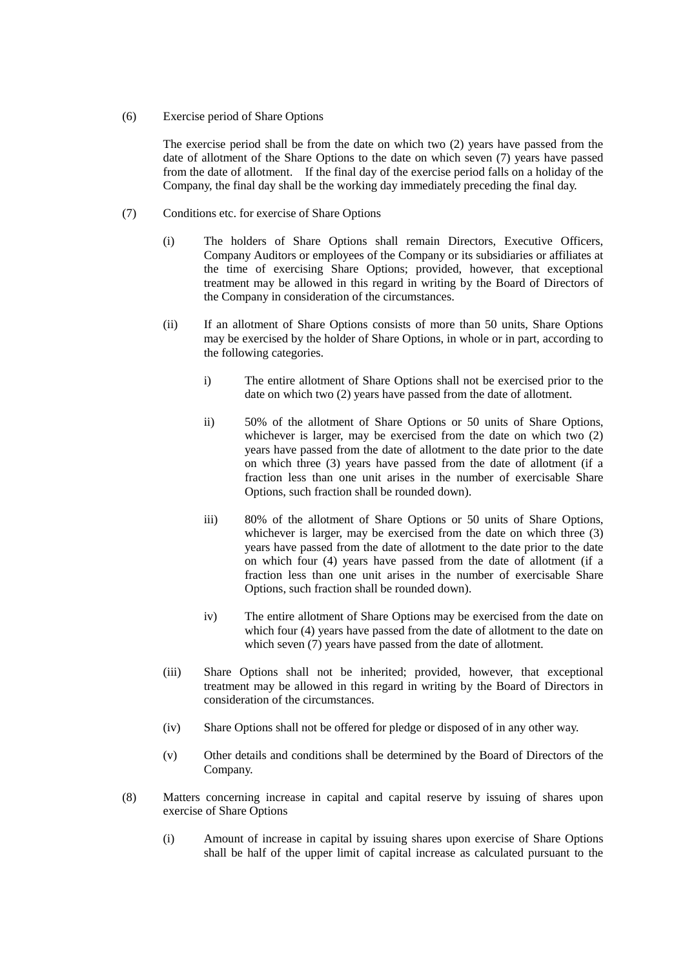(6) Exercise period of Share Options

The exercise period shall be from the date on which two (2) years have passed from the date of allotment of the Share Options to the date on which seven (7) years have passed from the date of allotment. If the final day of the exercise period falls on a holiday of the Company, the final day shall be the working day immediately preceding the final day.

- (7) Conditions etc. for exercise of Share Options
	- (i) The holders of Share Options shall remain Directors, Executive Officers, Company Auditors or employees of the Company or its subsidiaries or affiliates at the time of exercising Share Options; provided, however, that exceptional treatment may be allowed in this regard in writing by the Board of Directors of the Company in consideration of the circumstances.
	- (ii) If an allotment of Share Options consists of more than 50 units, Share Options may be exercised by the holder of Share Options, in whole or in part, according to the following categories.
		- i) The entire allotment of Share Options shall not be exercised prior to the date on which two (2) years have passed from the date of allotment.
		- ii) 50% of the allotment of Share Options or 50 units of Share Options, whichever is larger, may be exercised from the date on which two (2) years have passed from the date of allotment to the date prior to the date on which three (3) years have passed from the date of allotment (if a fraction less than one unit arises in the number of exercisable Share Options, such fraction shall be rounded down).
		- iii) 80% of the allotment of Share Options or 50 units of Share Options, whichever is larger, may be exercised from the date on which three  $(3)$ years have passed from the date of allotment to the date prior to the date on which four (4) years have passed from the date of allotment (if a fraction less than one unit arises in the number of exercisable Share Options, such fraction shall be rounded down).
		- iv) The entire allotment of Share Options may be exercised from the date on which four (4) years have passed from the date of allotment to the date on which seven  $(7)$  years have passed from the date of allotment.
	- (iii) Share Options shall not be inherited; provided, however, that exceptional treatment may be allowed in this regard in writing by the Board of Directors in consideration of the circumstances.
	- (iv) Share Options shall not be offered for pledge or disposed of in any other way.
	- (v) Other details and conditions shall be determined by the Board of Directors of the Company.
- (8) Matters concerning increase in capital and capital reserve by issuing of shares upon exercise of Share Options
	- (i) Amount of increase in capital by issuing shares upon exercise of Share Options shall be half of the upper limit of capital increase as calculated pursuant to the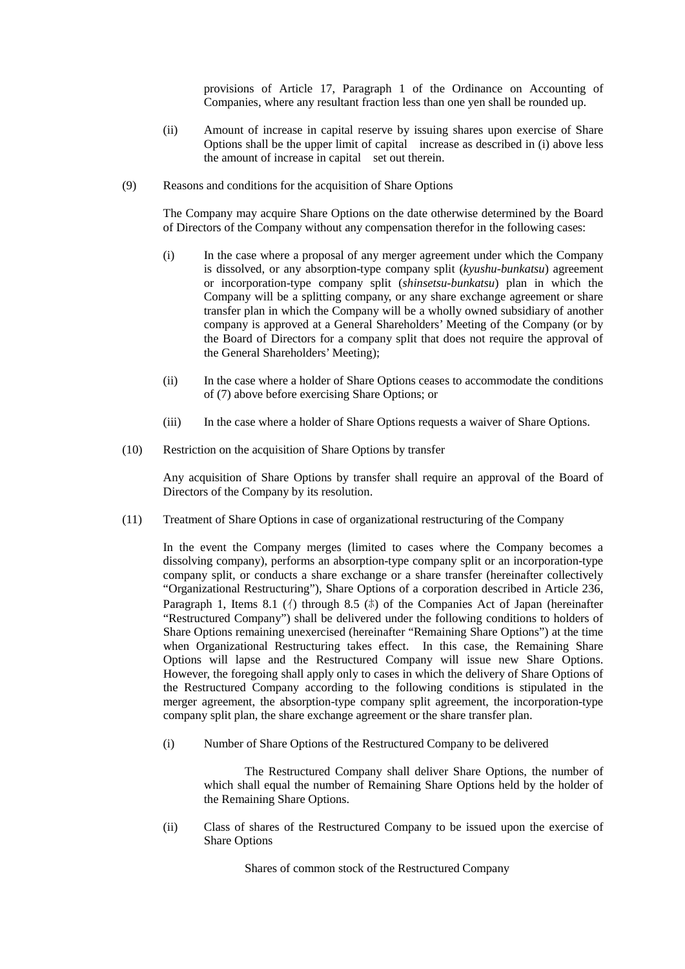provisions of Article 17, Paragraph 1 of the Ordinance on Accounting of Companies, where any resultant fraction less than one yen shall be rounded up.

- (ii) Amount of increase in capital reserve by issuing shares upon exercise of Share Options shall be the upper limit of capital increase as described in (i) above less the amount of increase in capital set out therein.
- (9) Reasons and conditions for the acquisition of Share Options

The Company may acquire Share Options on the date otherwise determined by the Board of Directors of the Company without any compensation therefor in the following cases:

- (i) In the case where a proposal of any merger agreement under which the Company is dissolved, or any absorption-type company split (*kyushu-bunkatsu*) agreement or incorporation-type company split (*shinsetsu-bunkatsu*) plan in which the Company will be a splitting company, or any share exchange agreement or share transfer plan in which the Company will be a wholly owned subsidiary of another company is approved at a General Shareholders' Meeting of the Company (or by the Board of Directors for a company split that does not require the approval of the General Shareholders' Meeting);
- (ii) In the case where a holder of Share Options ceases to accommodate the conditions of (7) above before exercising Share Options; or
- (iii) In the case where a holder of Share Options requests a waiver of Share Options.
- (10) Restriction on the acquisition of Share Options by transfer

Any acquisition of Share Options by transfer shall require an approval of the Board of Directors of the Company by its resolution.

(11) Treatment of Share Options in case of organizational restructuring of the Company

In the event the Company merges (limited to cases where the Company becomes a dissolving company), performs an absorption-type company split or an incorporation-type company split, or conducts a share exchange or a share transfer (hereinafter collectively "Organizational Restructuring"), Share Options of a corporation described in Article 236, Paragraph 1, Items 8.1 ( $\langle \rangle$ ) through 8.5 ( $\bar{x}$ ) of the Companies Act of Japan (hereinafter "Restructured Company") shall be delivered under the following conditions to holders of Share Options remaining unexercised (hereinafter "Remaining Share Options") at the time when Organizational Restructuring takes effect. In this case, the Remaining Share Options will lapse and the Restructured Company will issue new Share Options. However, the foregoing shall apply only to cases in which the delivery of Share Options of the Restructured Company according to the following conditions is stipulated in the merger agreement, the absorption-type company split agreement, the incorporation-type company split plan, the share exchange agreement or the share transfer plan.

(i) Number of Share Options of the Restructured Company to be delivered

The Restructured Company shall deliver Share Options, the number of which shall equal the number of Remaining Share Options held by the holder of the Remaining Share Options.

(ii) Class of shares of the Restructured Company to be issued upon the exercise of Share Options

Shares of common stock of the Restructured Company